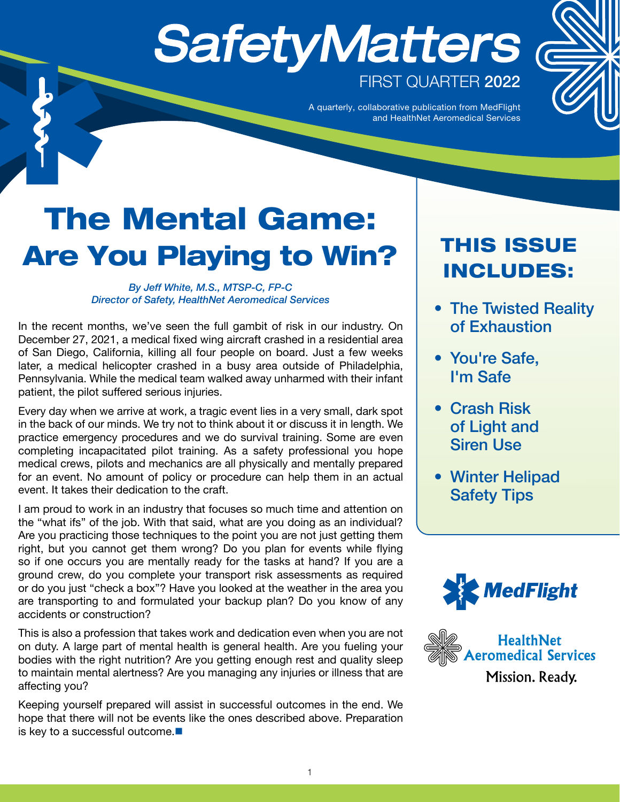# **SafetyMatters** FIRST QUARTER 2022

A quarterly, collaborative publication from MedFlight and HealthNet Aeromedical Services

# The Mental Game: Are You Playing to Win?

#### *By Jeff White, M.S., MTSP-C, FP-C Director of Safety, HealthNet Aeromedical Services*

In the recent months, we've seen the full gambit of risk in our industry. On December 27, 2021, a medical fixed wing aircraft crashed in a residential area of San Diego, California, killing all four people on board. Just a few weeks later, a medical helicopter crashed in a busy area outside of Philadelphia, Pennsylvania. While the medical team walked away unharmed with their infant patient, the pilot suffered serious injuries.

Every day when we arrive at work, a tragic event lies in a very small, dark spot in the back of our minds. We try not to think about it or discuss it in length. We practice emergency procedures and we do survival training. Some are even completing incapacitated pilot training. As a safety professional you hope medical crews, pilots and mechanics are all physically and mentally prepared for an event. No amount of policy or procedure can help them in an actual event. It takes their dedication to the craft.

I am proud to work in an industry that focuses so much time and attention on the "what ifs" of the job. With that said, what are you doing as an individual? Are you practicing those techniques to the point you are not just getting them right, but you cannot get them wrong? Do you plan for events while flying so if one occurs you are mentally ready for the tasks at hand? If you are a ground crew, do you complete your transport risk assessments as required or do you just "check a box"? Have you looked at the weather in the area you are transporting to and formulated your backup plan? Do you know of any accidents or construction?

This is also a profession that takes work and dedication even when you are not on duty. A large part of mental health is general health. Are you fueling your bodies with the right nutrition? Are you getting enough rest and quality sleep to maintain mental alertness? Are you managing any injuries or illness that are affecting you?

Keeping yourself prepared will assist in successful outcomes in the end. We hope that there will not be events like the ones described above. Preparation is key to a successful outcome.■

#### THIS ISSUE INCLUDES:

- The Twisted Reality of Exhaustion
- You're Safe, I'm Safe
- Crash Risk of Light and Siren Use
- Winter Helipad Safety Tips



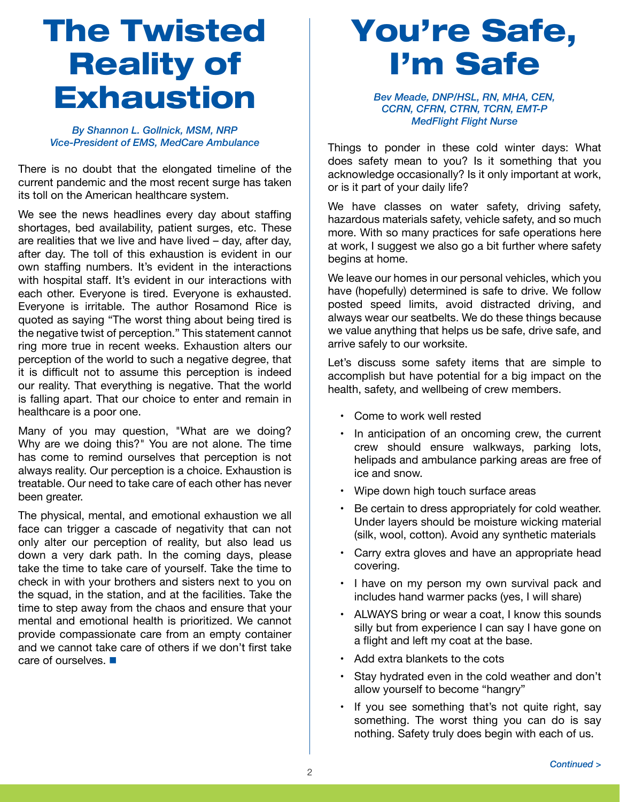## The Twisted Reality of **Exhaustion**

*By Shannon L. Gollnick, MSM, NRP Vice-President of EMS, MedCare Ambulance*

There is no doubt that the elongated timeline of the current pandemic and the most recent surge has taken its toll on the American healthcare system.

We see the news headlines every day about staffing shortages, bed availability, patient surges, etc. These are realities that we live and have lived – day, after day, after day. The toll of this exhaustion is evident in our own staffing numbers. It's evident in the interactions with hospital staff. It's evident in our interactions with each other. Everyone is tired. Everyone is exhausted. Everyone is irritable. The author Rosamond Rice is quoted as saying "The worst thing about being tired is the negative twist of perception." This statement cannot ring more true in recent weeks. Exhaustion alters our perception of the world to such a negative degree, that it is difficult not to assume this perception is indeed our reality. That everything is negative. That the world is falling apart. That our choice to enter and remain in healthcare is a poor one.

Many of you may question, "What are we doing? Why are we doing this?" You are not alone. The time has come to remind ourselves that perception is not always reality. Our perception is a choice. Exhaustion is treatable. Our need to take care of each other has never been greater.

The physical, mental, and emotional exhaustion we all face can trigger a cascade of negativity that can not only alter our perception of reality, but also lead us down a very dark path. In the coming days, please take the time to take care of yourself. Take the time to check in with your brothers and sisters next to you on the squad, in the station, and at the facilities. Take the time to step away from the chaos and ensure that your mental and emotional health is prioritized. We cannot provide compassionate care from an empty container and we cannot take care of others if we don't first take care of ourselves.

### You're Safe, I'm Safe

*Bev Meade, DNP/HSL, RN, MHA, CEN, CCRN, CFRN, CTRN, TCRN, EMT-P MedFlight Flight Nurse*

Things to ponder in these cold winter days: What does safety mean to you? Is it something that you acknowledge occasionally? Is it only important at work, or is it part of your daily life?

We have classes on water safety, driving safety, hazardous materials safety, vehicle safety, and so much more. With so many practices for safe operations here at work, I suggest we also go a bit further where safety begins at home.

We leave our homes in our personal vehicles, which you have (hopefully) determined is safe to drive. We follow posted speed limits, avoid distracted driving, and always wear our seatbelts. We do these things because we value anything that helps us be safe, drive safe, and arrive safely to our worksite.

Let's discuss some safety items that are simple to accomplish but have potential for a big impact on the health, safety, and wellbeing of crew members.

- • Come to work well rested
- In anticipation of an oncoming crew, the current crew should ensure walkways, parking lots, helipads and ambulance parking areas are free of ice and snow.
- Wipe down high touch surface areas
- • Be certain to dress appropriately for cold weather. Under layers should be moisture wicking material (silk, wool, cotton). Avoid any synthetic materials
- Carry extra gloves and have an appropriate head covering.
- I have on my person my own survival pack and includes hand warmer packs (yes, I will share)
- • ALWAYS bring or wear a coat, I know this sounds silly but from experience I can say I have gone on a flight and left my coat at the base.
- • Add extra blankets to the cots
- • Stay hydrated even in the cold weather and don't allow yourself to become "hangry"
- If you see something that's not quite right, say something. The worst thing you can do is say nothing. Safety truly does begin with each of us.